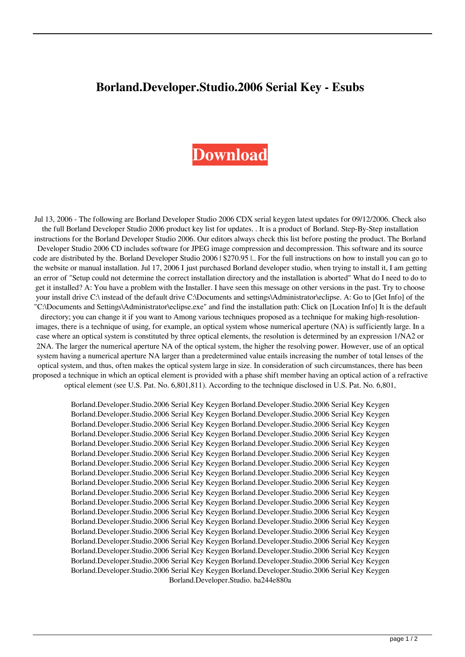## **Borland.Developer.Studio.2006 Serial Key - Esubs**

## **[Download](https://geags.com/2l1g30)**

Jul 13, 2006 - The following are Borland Developer Studio 2006 CDX serial keygen latest updates for 09/12/2006. Check also the full Borland Developer Studio 2006 product key list for updates. . It is a product of Borland. Step-By-Step installation instructions for the Borland Developer Studio 2006. Our editors always check this list before posting the product. The Borland Developer Studio 2006 CD includes software for JPEG image compression and decompression. This software and its source code are distributed by the. Borland Developer Studio 2006 | \$270.95 |.. For the full instructions on how to install you can go to the website or manual installation. Jul 17, 2006 I just purchased Borland developer studio, when trying to install it, I am getting an error of "Setup could not determine the correct installation directory and the installation is aborted" What do I need to do to get it installed? A: You have a problem with the Installer. I have seen this message on other versions in the past. Try to choose your install drive C:\ instead of the default drive C:\Documents and settings\Administrator\eclipse. A: Go to [Get Info] of the "C:\Documents and Settings\Administrator\eclipse.exe" and find the installation path: Click on [Location Info] It is the default directory; you can change it if you want to Among various techniques proposed as a technique for making high-resolutionimages, there is a technique of using, for example, an optical system whose numerical aperture (NA) is sufficiently large. In a case where an optical system is constituted by three optical elements, the resolution is determined by an expression 1/NA2 or 2NA. The larger the numerical aperture NA of the optical system, the higher the resolving power. However, use of an optical system having a numerical aperture NA larger than a predetermined value entails increasing the number of total lenses of the optical system, and thus, often makes the optical system large in size. In consideration of such circumstances, there has been proposed a technique in which an optical element is provided with a phase shift member having an optical action of a refractive optical element (see U.S. Pat. No. 6,801,811). According to the technique disclosed in U.S. Pat. No. 6,801,

Borland.Developer.Studio.2006 Serial Key Keygen Borland.Developer.Studio.2006 Serial Key Keygen Borland.Developer.Studio.2006 Serial Key Keygen Borland.Developer.Studio.2006 Serial Key Keygen Borland.Developer.Studio.2006 Serial Key Keygen Borland.Developer.Studio.2006 Serial Key Keygen Borland.Developer.Studio.2006 Serial Key Keygen Borland.Developer.Studio.2006 Serial Key Keygen Borland.Developer.Studio.2006 Serial Key Keygen Borland.Developer.Studio.2006 Serial Key Keygen Borland.Developer.Studio.2006 Serial Key Keygen Borland.Developer.Studio.2006 Serial Key Keygen Borland.Developer.Studio.2006 Serial Key Keygen Borland.Developer.Studio.2006 Serial Key Keygen Borland.Developer.Studio.2006 Serial Key Keygen Borland.Developer.Studio.2006 Serial Key Keygen Borland.Developer.Studio.2006 Serial Key Keygen Borland.Developer.Studio.2006 Serial Key Keygen Borland.Developer.Studio.2006 Serial Key Keygen Borland.Developer.Studio.2006 Serial Key Keygen Borland.Developer.Studio.2006 Serial Key Keygen Borland.Developer.Studio.2006 Serial Key Keygen Borland.Developer.Studio.2006 Serial Key Keygen Borland.Developer.Studio.2006 Serial Key Keygen Borland.Developer.Studio.2006 Serial Key Keygen Borland.Developer.Studio.2006 Serial Key Keygen Borland.Developer.Studio.2006 Serial Key Keygen Borland.Developer.Studio.2006 Serial Key Keygen Borland.Developer.Studio.2006 Serial Key Keygen Borland.Developer.Studio.2006 Serial Key Keygen Borland.Developer.Studio.2006 Serial Key Keygen Borland.Developer.Studio.2006 Serial Key Keygen Borland.Developer.Studio.2006 Serial Key Keygen Borland.Developer.Studio.2006 Serial Key Keygen Borland.Developer.Studio.2006 Serial Key Keygen Borland.Developer.Studio.2006 Serial Key Keygen Borland.Developer.Studio. ba244e880a